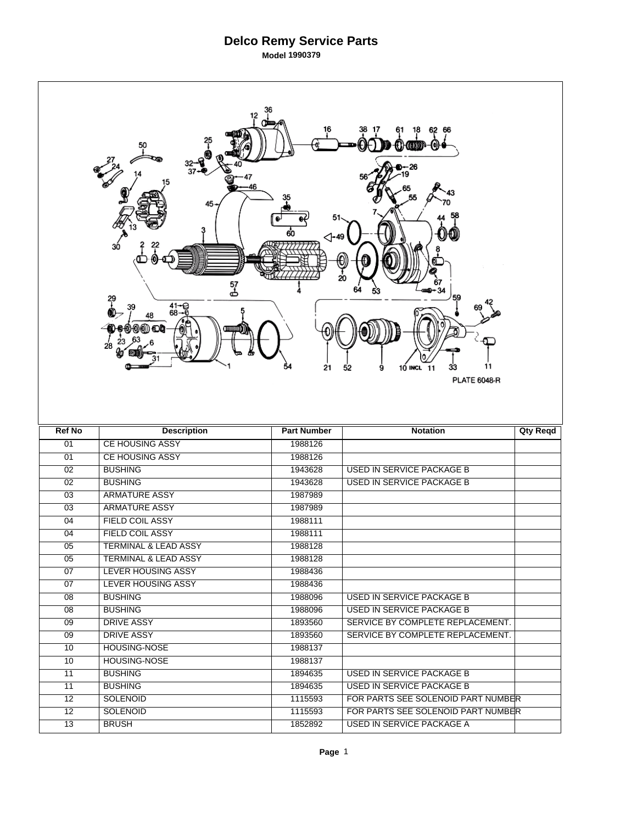|                 | 12<br>50<br>45<br>30<br>57<br>ക<br>원<br>$41 - 68 - 6$<br>39<br>48<br>28 | $\triangle$ -49<br>21 | 62<br>66<br>20<br>59<br>11<br>10 INCL 11<br>33<br>52<br>9<br><b>PLATE 6048-R</b> |                 |
|-----------------|-------------------------------------------------------------------------|-----------------------|----------------------------------------------------------------------------------|-----------------|
| <b>Ref No</b>   | <b>Description</b>                                                      |                       |                                                                                  |                 |
|                 |                                                                         | <b>Part Number</b>    | <b>Notation</b>                                                                  | <b>Qty Reqd</b> |
| 01              | <b>CE HOUSING ASSY</b>                                                  | 1988126               |                                                                                  |                 |
| 01              | <b>CE HOUSING ASSY</b>                                                  | 1988126               |                                                                                  |                 |
| $\overline{02}$ | <b>BUSHING</b>                                                          | 1943628               | <b>USED IN SERVICE PACKAGE B</b>                                                 |                 |
| $\overline{02}$ | <b>BUSHING</b>                                                          | 1943628               | <b>USED IN SERVICE PACKAGE B</b>                                                 |                 |
| 03              | <b>ARMATURE ASSY</b>                                                    | 1987989               |                                                                                  |                 |
| 03              | <b>ARMATURE ASSY</b>                                                    | 1987989               |                                                                                  |                 |
| 04              | <b>FIELD COIL ASSY</b>                                                  | 1988111               |                                                                                  |                 |
| 04              | <b>FIELD COIL ASSY</b>                                                  | 1988111               |                                                                                  |                 |
| $\overline{05}$ | <b>TERMINAL &amp; LEAD ASSY</b>                                         | 1988128               |                                                                                  |                 |
| 05              | <b>TERMINAL &amp; LEAD ASSY</b>                                         | 1988128               |                                                                                  |                 |
| 07              | <b>LEVER HOUSING ASSY</b>                                               | 1988436               |                                                                                  |                 |
| $\overline{07}$ | <b>LEVER HOUSING ASSY</b>                                               | 1988436               |                                                                                  |                 |
| 08              | <b>BUSHING</b>                                                          | 1988096               | USED IN SERVICE PACKAGE B                                                        |                 |
| $\overline{08}$ | <b>BUSHING</b>                                                          | 1988096               | USED IN SERVICE PACKAGE B                                                        |                 |
| $\overline{09}$ | <b>DRIVE ASSY</b>                                                       | 1893560               | SERVICE BY COMPLETE REPLACEMENT.                                                 |                 |
| 09              | <b>DRIVE ASSY</b>                                                       | 1893560               | SERVICE BY COMPLETE REPLACEMENT.                                                 |                 |
| 10              | <b>HOUSING-NOSE</b>                                                     | 1988137               |                                                                                  |                 |
| 10              | <b>HOUSING-NOSE</b>                                                     | 1988137               |                                                                                  |                 |
| 11              | <b>BUSHING</b>                                                          | 1894635               | USED IN SERVICE PACKAGE B                                                        |                 |
| $\overline{11}$ | <b>BUSHING</b>                                                          | 1894635               | USED IN SERVICE PACKAGE B                                                        |                 |
| $\overline{12}$ | <b>SOLENOID</b>                                                         | 1115593               | FOR PARTS SEE SOLENOID PART NUMBER                                               |                 |
| 12              | <b>SOLENOID</b>                                                         | 1115593               | FOR PARTS SEE SOLENOID PART NUMBER                                               |                 |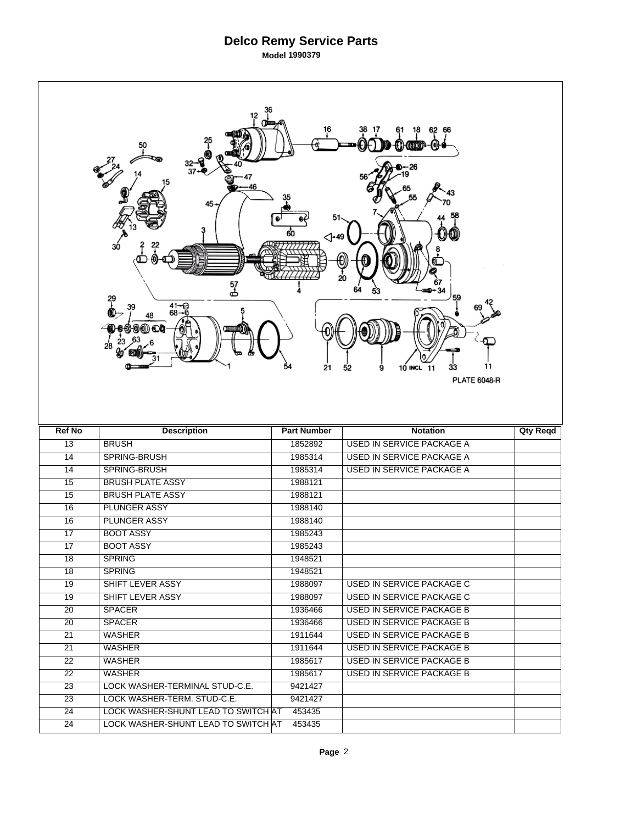|                 | 12<br>50<br>-يى<br>37<br>45-<br>зó<br>57<br>ക<br>?<br>$41 - C$<br>68-5<br>39<br>48<br>(1) (1) (D)<br>28 | 51<br>60<br>⊲-49<br>54<br>21 | 62 66<br>18<br>-- 26<br>20<br>11<br>9<br>10 INCL 11<br>33<br>52<br><b>PLATE 6048-R</b> |                 |
|-----------------|---------------------------------------------------------------------------------------------------------|------------------------------|----------------------------------------------------------------------------------------|-----------------|
|                 |                                                                                                         |                              |                                                                                        |                 |
| <b>Ref No</b>   | <b>Description</b>                                                                                      | <b>Part Number</b>           | <b>Notation</b>                                                                        | <b>Qty Reqd</b> |
| $\overline{13}$ | <b>BRUSH</b>                                                                                            | 1852892                      | <b>USED IN SERVICE PACKAGE A</b>                                                       |                 |
| 14              | SPRING-BRUSH                                                                                            | 1985314                      | <b>USED IN SERVICE PACKAGE A</b>                                                       |                 |
| 14              | SPRING-BRUSH                                                                                            | 1985314                      | USED IN SERVICE PACKAGE A                                                              |                 |
| 15              | <b>BRUSH PLATE ASSY</b>                                                                                 | 1988121                      |                                                                                        |                 |
| 15              | <b>BRUSH PLATE ASSY</b>                                                                                 | 1988121                      |                                                                                        |                 |
| 16              | <b>PLUNGER ASSY</b>                                                                                     | 1988140                      |                                                                                        |                 |
| $\overline{16}$ | <b>PLUNGER ASSY</b>                                                                                     | 1988140                      |                                                                                        |                 |
| 17              | <b>BOOT ASSY</b>                                                                                        | 1985243                      |                                                                                        |                 |
| $\overline{17}$ | <b>BOOT ASSY</b>                                                                                        | 1985243                      |                                                                                        |                 |
| 18              | <b>SPRING</b>                                                                                           | 1948521                      |                                                                                        |                 |
| 18              | <b>SPRING</b>                                                                                           | 1948521                      |                                                                                        |                 |
| 19              | SHIFT LEVER ASSY                                                                                        | 1988097                      | <b>USED IN SERVICE PACKAGE C</b>                                                       |                 |
| 19              | SHIFT LEVER ASSY                                                                                        | 1988097                      | USED IN SERVICE PACKAGE C                                                              |                 |
| 20              | <b>SPACER</b>                                                                                           | 1936466                      | USED IN SERVICE PACKAGE B                                                              |                 |
| $\overline{20}$ | <b>SPACER</b>                                                                                           | 1936466                      | <b>USED IN SERVICE PACKAGE B</b>                                                       |                 |
| 21              | <b>WASHER</b>                                                                                           | 1911644                      | <b>USED IN SERVICE PACKAGE B</b>                                                       |                 |
| 21              | <b>WASHER</b>                                                                                           | 1911644                      | USED IN SERVICE PACKAGE B                                                              |                 |
| $\overline{22}$ | <b>WASHER</b>                                                                                           | 1985617                      | USED IN SERVICE PACKAGE B                                                              |                 |
| 22              | WASHER                                                                                                  | 1985617                      | <b>USED IN SERVICE PACKAGE B</b>                                                       |                 |
| $\overline{23}$ | LOCK WASHER-TERMINAL STUD-C.E.                                                                          | 9421427                      |                                                                                        |                 |
| $\overline{23}$ | LOCK WASHER-TERM. STUD-C.E.                                                                             | 9421427                      |                                                                                        |                 |
| 24              | LOCK WASHER-SHUNT LEAD TO SWITCH AT                                                                     | 453435                       |                                                                                        |                 |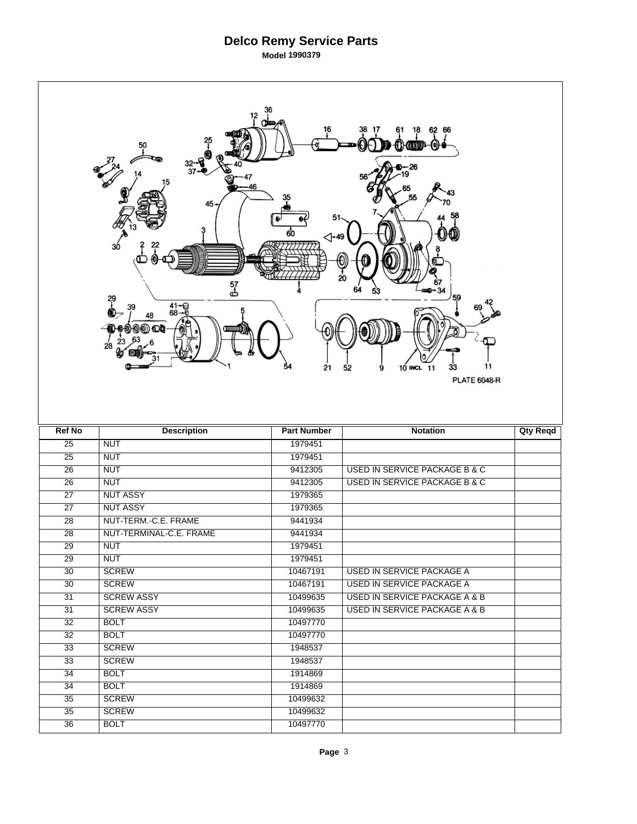|                       | 50<br>-يى<br>37<br>15<br>$45 -$<br>3ó<br>57<br>க<br>?<br>$41 - 68 - 6$<br>39<br>48<br>0) O) O<br>28 | 12<br>46<br>51<br>60<br>⊲-49<br>54<br>21 | 62 66<br>18<br>(o))<br>26<br>0<br>20<br>67<br>34<br>64<br>59<br>11<br>33<br>52<br>9<br>10 INCL<br>11<br><b>PLATE 6048-R</b> |                 |
|-----------------------|-----------------------------------------------------------------------------------------------------|------------------------------------------|-----------------------------------------------------------------------------------------------------------------------------|-----------------|
|                       |                                                                                                     |                                          |                                                                                                                             |                 |
| <b>Ref No</b>         | <b>Description</b>                                                                                  | <b>Part Number</b>                       | <b>Notation</b>                                                                                                             | <b>Qty Reqd</b> |
| $\overline{25}$       | <b>NUT</b>                                                                                          | 1979451                                  |                                                                                                                             |                 |
| $\overline{25}$       | <b>NUT</b>                                                                                          | 1979451                                  |                                                                                                                             |                 |
| $\overline{26}$       | <b>NUT</b>                                                                                          | 9412305                                  | <b>USED IN SERVICE PACKAGE B &amp; C</b>                                                                                    |                 |
| $\overline{26}$       | <b>NUT</b>                                                                                          | 9412305                                  | <b>USED IN SERVICE PACKAGE B &amp; C</b>                                                                                    |                 |
| $\overline{27}$       | <b>NUT ASSY</b>                                                                                     | 1979365                                  |                                                                                                                             |                 |
| $\overline{27}$       | <b>NUT ASSY</b>                                                                                     | 1979365                                  |                                                                                                                             |                 |
| $\overline{28}$       | NUT-TERM.-C.E. FRAME                                                                                | 9441934                                  |                                                                                                                             |                 |
| 28                    | NUT-TERMINAL-C.E. FRAME                                                                             | 9441934                                  |                                                                                                                             |                 |
| $\overline{29}$       | <b>NUT</b>                                                                                          | 1979451                                  |                                                                                                                             |                 |
| $\overline{29}$       | <b>NUT</b>                                                                                          | 1979451                                  |                                                                                                                             |                 |
| 30                    | <b>SCREW</b>                                                                                        | 10467191                                 | USED IN SERVICE PACKAGE A                                                                                                   |                 |
| $\overline{30}$       | <b>SCREW</b>                                                                                        | 10467191                                 | <b>USED IN SERVICE PACKAGE A</b>                                                                                            |                 |
| 31                    | <b>SCREW ASSY</b>                                                                                   | 10499635                                 | USED IN SERVICE PACKAGE A & B                                                                                               |                 |
| 31                    | <b>SCREW ASSY</b>                                                                                   | 10499635                                 | USED IN SERVICE PACKAGE A & B                                                                                               |                 |
| 32                    | <b>BOLT</b>                                                                                         | 10497770                                 |                                                                                                                             |                 |
| 32                    | <b>BOLT</b>                                                                                         | 10497770                                 |                                                                                                                             |                 |
| 33                    | <b>SCREW</b>                                                                                        | 1948537                                  |                                                                                                                             |                 |
| $\overline{33}$       | <b>SCREW</b>                                                                                        | 1948537                                  |                                                                                                                             |                 |
| $\overline{34}$       | <b>BOLT</b>                                                                                         | 1914869                                  |                                                                                                                             |                 |
| $\overline{34}$       | <b>BOLT</b>                                                                                         | 1914869                                  |                                                                                                                             |                 |
| $\overline{35}$       | <b>SCREW</b>                                                                                        | 10499632                                 |                                                                                                                             |                 |
| 35<br>$\overline{36}$ | <b>SCREW</b><br><b>BOLT</b>                                                                         | 10499632<br>10497770                     |                                                                                                                             |                 |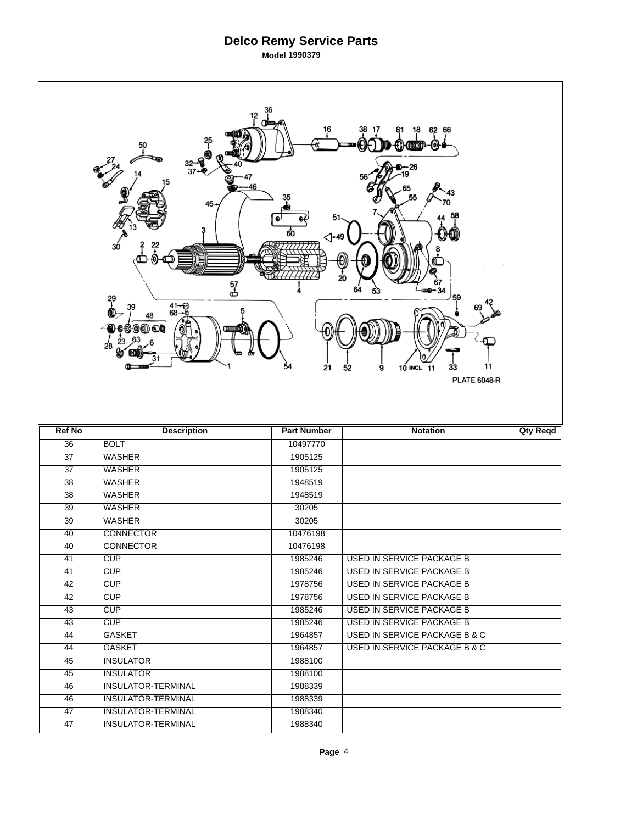|                 | 12<br>25<br>T<br>50<br>32-<br>37<br>15<br>46<br>45-<br>3ó<br>57<br>ക<br>?<br>$41 - 68 - 6$<br>39<br>48<br>O<br>28 | 51<br>60<br>$\triangle$ -49<br>54<br>21 | 62 66<br>18<br>O)<br>-26<br>0<br>20<br>67<br>$-34$<br>64<br>59<br>11<br>33<br>52<br>9<br>10 INCL<br>11<br><b>PLATE 6048-R</b> |                 |
|-----------------|-------------------------------------------------------------------------------------------------------------------|-----------------------------------------|-------------------------------------------------------------------------------------------------------------------------------|-----------------|
|                 |                                                                                                                   |                                         |                                                                                                                               |                 |
| <b>Ref No</b>   | <b>Description</b>                                                                                                | <b>Part Number</b>                      | <b>Notation</b>                                                                                                               | <b>Qty Reqd</b> |
| $\overline{36}$ | <b>BOLT</b>                                                                                                       | 10497770                                |                                                                                                                               |                 |
| $\overline{37}$ | <b>WASHER</b>                                                                                                     | 1905125                                 |                                                                                                                               |                 |
| $\overline{37}$ | <b>WASHER</b>                                                                                                     | 1905125                                 |                                                                                                                               |                 |
| $\overline{38}$ | <b>WASHER</b>                                                                                                     | 1948519                                 |                                                                                                                               |                 |
| 38              | <b>WASHER</b>                                                                                                     | 1948519                                 |                                                                                                                               |                 |
| 39              | <b>WASHER</b>                                                                                                     | 30205                                   |                                                                                                                               |                 |
| $\overline{39}$ | <b>WASHER</b>                                                                                                     | 30205                                   |                                                                                                                               |                 |
| 40              | <b>CONNECTOR</b>                                                                                                  | 10476198                                |                                                                                                                               |                 |
| 40              | <b>CONNECTOR</b>                                                                                                  | 10476198                                |                                                                                                                               |                 |
| 41              | CUP                                                                                                               | 1985246                                 | <b>USED IN SERVICE PACKAGE B</b>                                                                                              |                 |
| 41              | <b>CUP</b>                                                                                                        | 1985246                                 | USED IN SERVICE PACKAGE B                                                                                                     |                 |
| 42              | CUP                                                                                                               | 1978756                                 | <b>USED IN SERVICE PACKAGE B</b>                                                                                              |                 |
| 42              | CUP                                                                                                               | 1978756                                 | <b>USED IN SERVICE PACKAGE B</b>                                                                                              |                 |
| 43              | CUP                                                                                                               | 1985246                                 | <b>USED IN SERVICE PACKAGE B</b>                                                                                              |                 |
| 43              | CUP                                                                                                               | 1985246                                 | <b>USED IN SERVICE PACKAGE B</b>                                                                                              |                 |
| 44              | <b>GASKET</b>                                                                                                     | 1964857                                 | <b>USED IN SERVICE PACKAGE B &amp; C</b>                                                                                      |                 |
| 44              | <b>GASKET</b>                                                                                                     | 1964857                                 | <b>USED IN SERVICE PACKAGE B &amp; C</b>                                                                                      |                 |
| 45              | <b>INSULATOR</b>                                                                                                  | 1988100                                 |                                                                                                                               |                 |
| 45              | <b>INSULATOR</b>                                                                                                  | 1988100                                 |                                                                                                                               |                 |
| 46              | <b>INSULATOR-TERMINAL</b>                                                                                         | 1988339                                 |                                                                                                                               |                 |
| 46              | <b>INSULATOR-TERMINAL</b>                                                                                         | 1988339                                 |                                                                                                                               |                 |
| 47<br>47        | <b>INSULATOR-TERMINAL</b><br><b>INSULATOR-TERMINAL</b>                                                            | 1988340<br>1988340                      |                                                                                                                               |                 |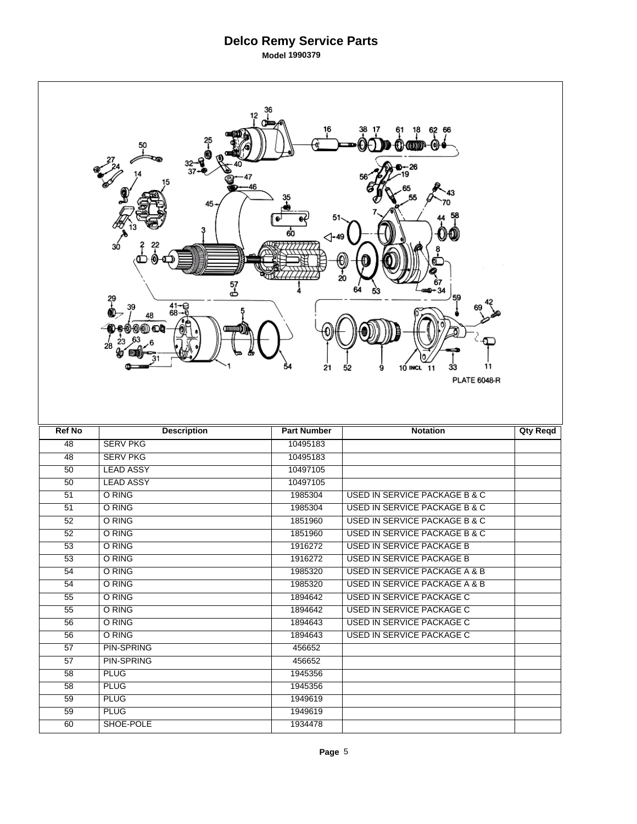|                 | 12<br>25<br><u>+</u><br>50<br>32--<br>37-<br>46<br>45-<br>30<br>57<br>ക<br>?<br>$41 - 68 - 6$<br>39<br>48<br>0) O) OD<br>28 | 51<br>60<br>⊲-49<br>54<br>21 | 62 66<br>18<br>(o)<br>{}}{@DDP<br>)-- 26<br>20<br>67<br>$-34$<br>59<br>11<br>9<br>10 INCL 11<br>33<br>52<br><b>PLATE 6048-R</b> |                 |
|-----------------|-----------------------------------------------------------------------------------------------------------------------------|------------------------------|---------------------------------------------------------------------------------------------------------------------------------|-----------------|
|                 |                                                                                                                             |                              |                                                                                                                                 |                 |
| <b>Ref No</b>   | <b>Description</b>                                                                                                          | <b>Part Number</b>           | <b>Notation</b>                                                                                                                 | <b>Qty Reqd</b> |
| 48              | <b>SERV PKG</b>                                                                                                             | 10495183                     |                                                                                                                                 |                 |
| 48              | <b>SERV PKG</b>                                                                                                             | 10495183                     |                                                                                                                                 |                 |
| 50              | <b>LEAD ASSY</b>                                                                                                            | 10497105                     |                                                                                                                                 |                 |
| $\overline{50}$ | <b>LEAD ASSY</b>                                                                                                            | 10497105                     |                                                                                                                                 |                 |
| 51              | O RING                                                                                                                      | 1985304                      | <b>USED IN SERVICE PACKAGE B &amp; C</b>                                                                                        |                 |
| 51              | O RING                                                                                                                      | 1985304                      | <b>USED IN SERVICE PACKAGE B &amp; C</b>                                                                                        |                 |
| 52              | O RING                                                                                                                      | 1851960                      | USED IN SERVICE PACKAGE B & C                                                                                                   |                 |
| 52              | O RING                                                                                                                      | 1851960                      | USED IN SERVICE PACKAGE B & C                                                                                                   |                 |
| $\overline{53}$ | O RING                                                                                                                      | 1916272                      | <b>USED IN SERVICE PACKAGE B</b>                                                                                                |                 |
| 53              | O RING                                                                                                                      | 1916272                      | <b>USED IN SERVICE PACKAGE B</b>                                                                                                |                 |
| 54              | O RING                                                                                                                      | 1985320                      | USED IN SERVICE PACKAGE A & B                                                                                                   |                 |
| 54              | O RING                                                                                                                      | 1985320                      | USED IN SERVICE PACKAGE A & B                                                                                                   |                 |
| 55              | O RING                                                                                                                      | 1894642                      | <b>USED IN SERVICE PACKAGE C</b>                                                                                                |                 |
| 55              | O RING                                                                                                                      | 1894642                      | <b>USED IN SERVICE PACKAGE C</b>                                                                                                |                 |
| 56              | O RING                                                                                                                      | 1894643                      | USED IN SERVICE PACKAGE C                                                                                                       |                 |
| 56              | O RING                                                                                                                      | 1894643                      | <b>USED IN SERVICE PACKAGE C</b>                                                                                                |                 |
| 57              | <b>PIN-SPRING</b>                                                                                                           | 456652                       |                                                                                                                                 |                 |
| 57              | <b>PIN-SPRING</b>                                                                                                           | 456652                       |                                                                                                                                 |                 |
| 58              | <b>PLUG</b>                                                                                                                 | 1945356                      |                                                                                                                                 |                 |
| 58              | <b>PLUG</b>                                                                                                                 | 1945356                      |                                                                                                                                 |                 |
| 59              | <b>PLUG</b>                                                                                                                 | 1949619                      |                                                                                                                                 |                 |
| 59<br>60        | <b>PLUG</b><br>SHOE-POLE                                                                                                    | 1949619<br>1934478           |                                                                                                                                 |                 |